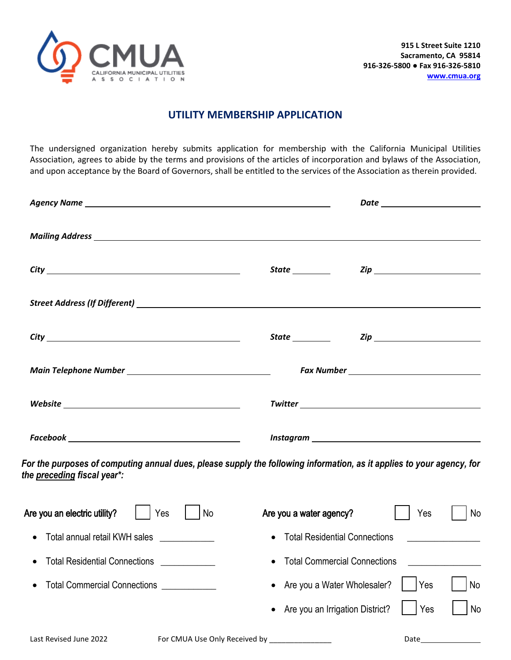

## **UTILITY MEMBERSHIP APPLICATION**

The undersigned organization hereby submits application for membership with the California Municipal Utilities Association, agrees to abide by the terms and provisions of the articles of incorporation and bylaws of the Association, and upon acceptance by the Board of Governors, shall be entitled to the services of the Association as therein provided.

|                                                                                                                                                                                                                                                                                                                                                                                                                                                                                                                                                       | Date ________________________                                                                                                                                                                                                                                                                                                                                       |  |
|-------------------------------------------------------------------------------------------------------------------------------------------------------------------------------------------------------------------------------------------------------------------------------------------------------------------------------------------------------------------------------------------------------------------------------------------------------------------------------------------------------------------------------------------------------|---------------------------------------------------------------------------------------------------------------------------------------------------------------------------------------------------------------------------------------------------------------------------------------------------------------------------------------------------------------------|--|
|                                                                                                                                                                                                                                                                                                                                                                                                                                                                                                                                                       |                                                                                                                                                                                                                                                                                                                                                                     |  |
|                                                                                                                                                                                                                                                                                                                                                                                                                                                                                                                                                       |                                                                                                                                                                                                                                                                                                                                                                     |  |
|                                                                                                                                                                                                                                                                                                                                                                                                                                                                                                                                                       |                                                                                                                                                                                                                                                                                                                                                                     |  |
|                                                                                                                                                                                                                                                                                                                                                                                                                                                                                                                                                       |                                                                                                                                                                                                                                                                                                                                                                     |  |
|                                                                                                                                                                                                                                                                                                                                                                                                                                                                                                                                                       |                                                                                                                                                                                                                                                                                                                                                                     |  |
| ${\it Website} \; \underline{\hspace{2.5cm}}$                                                                                                                                                                                                                                                                                                                                                                                                                                                                                                         |                                                                                                                                                                                                                                                                                                                                                                     |  |
| $\textit{Facebook} \underline{\hspace{2.5cm}} \underline{\hspace{2.5cm}} \qquad \qquad \underline{\hspace{2.5cm}} \qquad \qquad \underline{\hspace{2.5cm}} \qquad \qquad \underline{\hspace{2.5cm}} \qquad \qquad \underline{\hspace{2.5cm}} \qquad \qquad \underline{\hspace{2.5cm}} \qquad \qquad \underline{\hspace{2.5cm}} \qquad \qquad \underline{\hspace{2.5cm}} \qquad \qquad \underline{\hspace{2.5cm}} \qquad \qquad \underline{\hspace{2.5cm}} \qquad \qquad \underline{\hspace{2.5cm}} \qquad \qquad \underline{\hspace{2.5cm}} \qquad \$ | $\begin{picture}(25,10) \put(0,0){\vector(1,0){100}} \put(15,0){\vector(1,0){100}} \put(15,0){\vector(1,0){100}} \put(15,0){\vector(1,0){100}} \put(15,0){\vector(1,0){100}} \put(15,0){\vector(1,0){100}} \put(15,0){\vector(1,0){100}} \put(15,0){\vector(1,0){100}} \put(15,0){\vector(1,0){100}} \put(15,0){\vector(1,0){100}} \put(15,0){\vector(1,0){100}} \$ |  |
| the <u>preceding</u> fiscal year*:                                                                                                                                                                                                                                                                                                                                                                                                                                                                                                                    | For the purposes of computing annual dues, please supply the following information, as it applies to your agency, for                                                                                                                                                                                                                                               |  |
| Are you an electric utility?<br>Yes<br>$\vert$ $\vert$ No                                                                                                                                                                                                                                                                                                                                                                                                                                                                                             | Are you a water agency?<br>Yes<br>No                                                                                                                                                                                                                                                                                                                                |  |
| • Total annual retail KWH sales ____________                                                                                                                                                                                                                                                                                                                                                                                                                                                                                                          | • Total Residential Connections                                                                                                                                                                                                                                                                                                                                     |  |
| • Total Residential Connections ___________                                                                                                                                                                                                                                                                                                                                                                                                                                                                                                           | <b>Total Commercial Connections</b>                                                                                                                                                                                                                                                                                                                                 |  |
| Total Commercial Connections [1984]                                                                                                                                                                                                                                                                                                                                                                                                                                                                                                                   | Are you a Water Wholesaler?<br>Yes<br>No                                                                                                                                                                                                                                                                                                                            |  |
|                                                                                                                                                                                                                                                                                                                                                                                                                                                                                                                                                       | Are you an Irrigation District?<br>Yes<br>No                                                                                                                                                                                                                                                                                                                        |  |
| Last Revised June 2022<br>For CMUA Use Only Received by                                                                                                                                                                                                                                                                                                                                                                                                                                                                                               | Date                                                                                                                                                                                                                                                                                                                                                                |  |